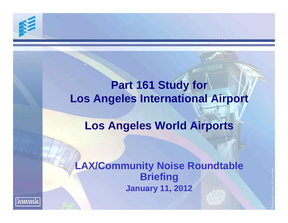# **Part 161 Study for Los Angeles International Airport**

# **Los Angeles World Airports**

# **LAX/Community Noise Roundtable Briefing January 11, 2012**

hmmh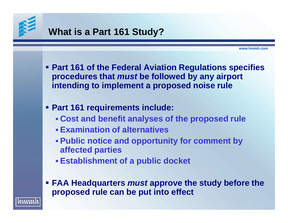

## **What is a Part 161 Study?**

- **Part 161 of the Federal Aviation Regulations specifies procedures that** *must* **be followed by any airport intending to implement a proposed noise rule**
- **Part 161 requirements include:**
	- **Cost and benefit analyses of the proposed rule**
	- **Examination of alternatives**
	- **Public notice and opportunity for comment by affected parties**
	- **Establishment of a public docket**
- **FAA Headquarters** *must* **approve the study before the proposed rule can be put into effect**

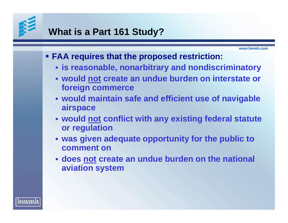

### **What is a Part 161 Study?**

- **FAA requires that the proposed restriction:**
	- **is reasonable, nonarbitrary and nondiscriminatory**
	- **would not create an undue burden on interstate or foreign commerce**
	- **would maintain safe and efficient use of navigable airspace**
	- **would not conflict with any existing federal statute or regulation**
	- **was given adequate opportunity for the public to comment on**
	- **does not create an undue burden on the national aviation system**

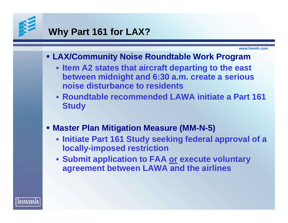

#### **Why Part 161 for LAX?**

**www.hmmh.com**

#### **LAX/Community Noise Roundtable Work Program**

- **Item A2 states that aircraft departing to the east between midnight and 6:30 a.m. create a serious noise disturbance to residents**
- **Roundtable recommended LAWA initiate a Part 161 Study**
- **Master Plan Mitigation Measure (MM-N-5)**
	- **Initiate Part 161 Study seeking federal approval of a locally-imposed restriction**
	- **Submit application to FAA or execute voluntary agreement between LAWA and the airlines**

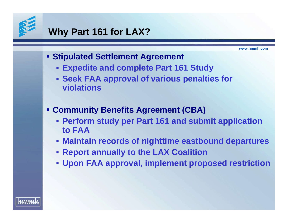

## **Why Part 161 for LAX?**

- **F** Stipulated Settlement Agreement
	- **Expedite and complete Part 161 Study**
	- **Seek FAA approval of various penalties for violations**
- **Community Benefits Agreement (CBA)**
	- **Perform study per Part 161 and submit application to FAA**
	- **Maintain records of nighttime eastbound departures**
	- **Report annually to the LAX Coalition**
	- **Upon FAA approval, implement proposed restriction**

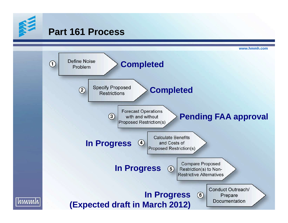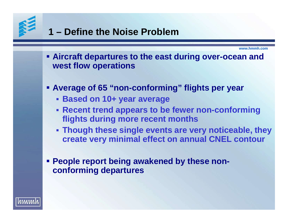

hmmh

# **1 – Define the Noise Problem**

- **Aircraft departures to the east during over-ocean and west flow operations**
- **Average of 65 "non-conforming" flights per year**
	- **Based on 10+ year average**
	- **Recent trend appears to be fewer non-conforming flights during more recent months**
	- **Though these single events are very noticeable, they create very minimal effect on annual CNEL contour**
- **People report being awakened by these nonconforming departures**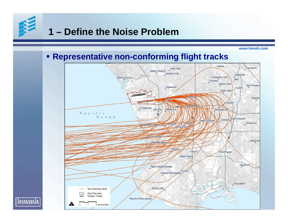## **1 – Define the Noise Problem**

**www.hmmh.com**

#### **Representative non-conforming flight tracks**



<u>|hmmh</u>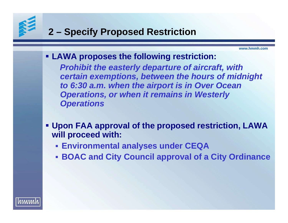# **2 – Specify Proposed Restriction**

**www.hmmh.com**

**LAWA proposes the following restriction:**

*Prohibit the easterly departure of aircraft, with certain exemptions, between the hours of midnight to 6:30 a.m. when the airport is in Over Ocean Operations, or when it remains in Westerly Operations*

- **Upon FAA approval of the proposed restriction, LAWA will proceed with:**
	- **Environmental analyses under CEQA**
	- **BOAC and City Council approval of a City Ordinance**

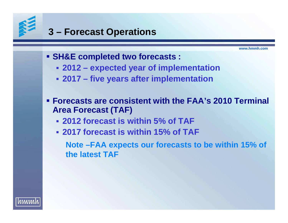

### **3 – Forecast Operations**

**www.hmmh.com**

- **SH&E completed two forecasts :**
	- **2012 expected year of implementation**
	- **2017 five years after implementation**
- **Forecasts are consistent with the FAA's 2010 Terminal Area Forecast (TAF)**
	- **2012 forecast is within 5% of TAF**
	- **2017 forecast is within 15% of TAF**

**Note –FAA expects our forecasts to be within 15% of the latest TAF**

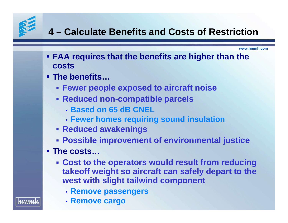# **4 – Calculate Benefits and Costs of Restriction**

**www.hmmh.com**

- **FAA requires that the benefits are higher than the costs**
- **The benefits…**
	- **Fewer people exposed to aircraft noise**
	- **Reduced non-compatible parcels**
		- **Based on 65 dB CNEL**
		- **Fewer homes requiring sound insulation**
	- **Reduced awakenings**
	- **Possible improvement of environmental justice**

#### **The costs…**

- **Cost to the operators would result from reducing takeoff weight so aircraft can safely depart to the west with slight tailwind component**
	- **Remove passengers**
	- **Remove cargo**

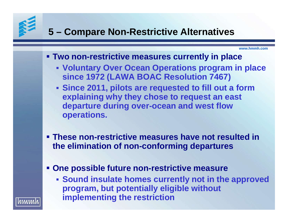## **5 – Compare Non-Restrictive Alternatives**

- **Two non-restrictive measures currently in place**
	- **Voluntary Over Ocean Operations program in place since 1972 (LAWA BOAC Resolution 7467)**
	- **Since 2011, pilots are requested to fill out a form explaining why they chose to request an east departure during over-ocean and west flow operations.**
- **These non-restrictive measures have not resulted in the elimination of non-conforming departures**
- **One possible future non-restrictive measure**
	- **Sound insulate homes currently not in the approved program, but potentially eligible without implementing the restriction**

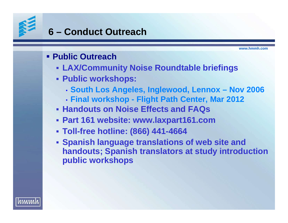## **6 – Conduct Outreach**

**www.hmmh.com**

#### **Public Outreach**

- **LAX/Community Noise Roundtable briefings**
- **Public workshops:**
	- **South Los Angeles, Inglewood, Lennox Nov 2006**
	- **Final workshop Flight Path Center, Mar 2012**
- **Handouts on Noise Effects and FAQs**
- **Part 161 website: www.laxpart161.com**
- **Toll-free hotline: (866) 441-4664**
- **Spanish language translations of web site and handouts; Spanish translators at study introduction public workshops**

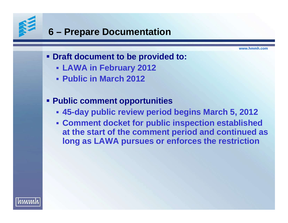## **6 – Prepare Documentation**

**www.hmmh.com**

#### **Draft document to be provided to:**

- **LAWA in February 2012**
- **Public in March 2012**

#### **Public comment opportunities**

- **45-day public review period begins March 5, 2012**
- **Comment docket for public inspection established at the start of the comment period and continued as long as LAWA pursues or enforces the restriction**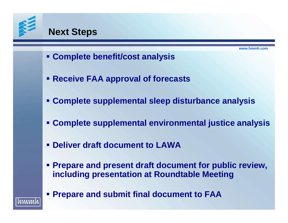

hmmh

#### **Next Steps**

- **Complete benefit/cost analysis**
- **Receive FAA approval of forecasts**
- **Complete supplemental sleep disturbance analysis**
- **Complete supplemental environmental justice analysis**
- **Deliver draft document to LAWA**
- **Prepare and present draft document for public review, including presentation at Roundtable Meeting**
- **Prepare and submit final document to FAA**